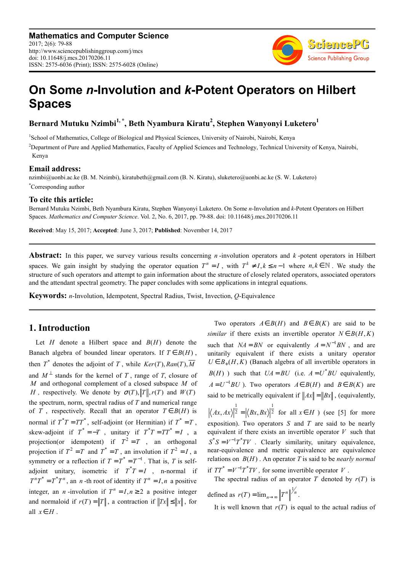

# **On Some** *n***-Involution and** *k***-Potent Operators on Hilbert Spaces**

**Bernard Mutuku Nzimbi1, \*, Beth Nyambura Kiratu<sup>2</sup> , Stephen Wanyonyi Luketero<sup>1</sup>**

<sup>1</sup>School of Mathematics, College of Biological and Physical Sciences, University of Nairobi, Nairobi, Kenya <sup>2</sup>Department of Pure and Applied Mathematics, Faculty of Applied Sciences and Technology, Technical University of Kenya, Nairobi, Kenya

#### **Email address:**

nzimbi@uonbi.ac.ke (B. M. Nzimbi), kiratubeth@gmail.com (B. N. Kiratu), sluketero@uonbi.ac.ke (S. W. Luketero) \*Corresponding author

#### **To cite this article:**

Bernard Mutuku Nzimbi, Beth Nyambura Kiratu, Stephen Wanyonyi Luketero. On Some *n*-Involution and *k*-Potent Operators on Hilbert Spaces. *Mathematics and Computer Science*. Vol. 2, No. 6, 2017, pp. 79-88. doi: 10.11648/j.mcs.20170206.11

**Received**: May 15, 2017; **Accepted**: June 3, 2017; **Published**: November 14, 2017

**Abstract:** In this paper, we survey various results concerning *n* -involution operators and *k* -potent operators in Hilbert spaces. We gain insight by studying the operator equation  $T^n = I$ , with  $T^k \neq I, k \leq n-1$  where  $n, k \in \mathbb{N}$ . We study the structure of such operators and attempt to gain information about the structure of closely related operators, associated operators and the attendant spectral geometry. The paper concludes with some applications in integral equations.

**Keywords:** *n*-Involution, Idempotent, Spectral Radius, Twist, Invection, *Q*-Equivalence

# **1. Introduction**

Let  $H$  denote a Hilbert space and  $B(H)$  denote the Banach algebra of bounded linear operators. If  $T \in B(H)$ , then  $T^*$  denotes the adjoint of T, while  $Ker(T)$ ,  $Ran(T)$ ,  $\overline{M}$ and  $M^{\perp}$  stands for the kernel of *T*, range of *T*, closure of *M* and orthogonal complement of a closed subspace *M* of *H*, respectively. We denote by  $\sigma(T)$ ,  $||T||$ ,  $r(T)$  and  $W(T)$ the spectrum, norm, spectral radius of *T* and numerical range of *T*, respectively. Recall that an operator  $T \in B(H)$  is normal if  $T^*T = TT^*$ , self-adjoint (or Hermitian) if  $T^* = T$ , skew-adjoint if  $T^* = -T$ , unitary if  $T^*T = TT^* = I$ , a projection(or idempotent) if  $T^2 = T$ , an orthogonal projection if  $T^2 = T$  and  $T^* = T$ , an involution if  $T^2 = I$ , a symmetry or a reflection if  $T = T^* = T^{-1}$ . That is, *T* is selfadjoint unitary, isometric if  $T^*T = I$ , n-normal if  $T^{n}T^{*} = T^{*}T^{n}$ , an *n*-th root of identity if  $T^{n} = I, n$  a positive integer, an *n*-involution if  $T^n = I, n \ge 2$  a positive integer and normaloid if  $r(T) = ||T||$ , a contraction if  $||Tx|| \le ||x||$ , for all  $x \in H$ .

Two operators  $A \in B(H)$  and  $B \in B(K)$  are said to be *similar* if there exists an invertible operator  $N \in B(H, K)$ such that  $NA = BN$  or equivalently  $A = N^{-1}BN$ , and are unitarily equivalent if there exists a unitary operator  $U \in B_+$ (*H*,*K*) (Banach algebra of all invertible operators in  $B(H)$ ) such that  $UA = BU$  (i.e.  $A = U^*BU$  equivalently,  $A = U^{-1}BU$ ). Two operators  $A \in B(H)$  and  $B \in B(K)$  are said to be metrically equivalent if  $||Ax|| = ||Bx||$ , (equivalently, 1 1  $Ax, Ax$ <sup>2</sup> =  $\langle Bx, Bx \rangle$ <sup>2</sup> for all  $x \in H$  (see [5] for more exposition). Two operators *S* and *T* are said to be nearly equivalent if there exists an invertible operator *V* such that  $S^*S = V^{-1}T^*TV$  . Clearly similarity, unitary equivalence, near-equivalence and metric equivalence are equivalence relations on  $B(H)$ . An operator *T* is said to be *nearly normal* if  $TT^* = V^{-1}T^*TV$ , for some invertible operator *V*.

The spectral radius of an operator  $T$  denoted by  $r(T)$  is defined as  $r(T) = \lim_{n \to \infty} \left\| T^n \right\|^{1/n}$ .

It is well known that  $r(T)$  is equal to the actual radius of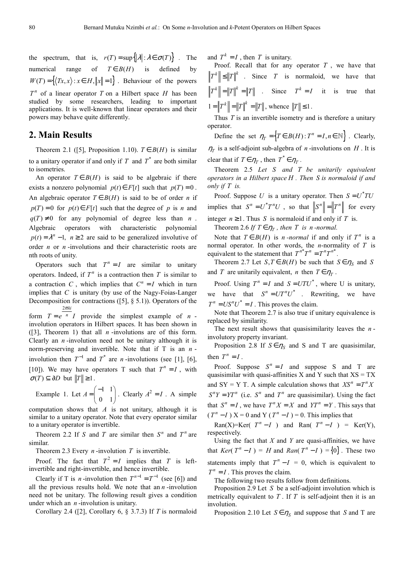the spectrum, that is,  $r(T) = \sup\{|\lambda| : \lambda \in \sigma(T)\}$ . The numerical range of  $T \in B(H)$  is defined by  $W(T) = \{(Tx, x) : x \in H, ||x|| = 1\}$ . Behaviour of the powers  $T<sup>n</sup>$  of a linear operator *T* on a Hilbert space *H* has been studied by some researchers, leading to important applications. It is well-known that linear operators and their powers may behave quite differently.

## **2. Main Results**

Theorem 2.1 ([5], Proposition 1.10).  $T \in B(H)$  is similar to a unitary operator if and only if  $T$  and  $T^*$  are both similar to isometries.

An operator  $T \in B(H)$  is said to be algebraic if there exists a nonzero polynomial  $p(t) \in F[t]$  such that  $p(T) = 0$ . An algebraic operator  $T \in B(H)$  is said to be of order *n* if  $p(T) = 0$  for  $p(t) \in F[t]$  such that the degree of *p* is *n* and  $q(T) \neq 0$  for any polynomial of degree less than *n*. Algebraic operators with characteristic polynomial  $p(t) = \lambda^n - 1$ ,  $n \ge 2$  are said to be generalized involutive of order *n* or *n* -involutions and their characteristic roots are nth roots of unity.

Operators such that  $T^n = I$  are similar to unitary operators. Indeed, if  $T<sup>n</sup>$  is a contraction then  $T$  is similar to a contraction *C*, which implies that  $C^n = I$  which in turn implies that *C* is unitary (by use of the Nagy-Foias-Langer Decomposition for contractions ([5], § 5.1)). Operators of the form  $T = e^{-n} I$  provide the simplest example of  $n - 1$  $2\pi k i$ 

involution operators in Hilbert spaces. It has been shown in ([3], Theorem 1) that all *n* -involutions are of this form. Clearly an *n* -involution need not be unitary although it is norm-preserving and invertible. Note that if T is an *n* involution then  $T^{-1}$  and  $T^*$  are *n*-involutions (see [1], [6], [10]). We may have operators T such that  $T^n = I$ , with  $\sigma(T) \subseteq \partial D$  but  $||T|| \geq 1$ .

Example 1. Let 
$$
A = \begin{pmatrix} -1 & 1 \\ 0 & 1 \end{pmatrix}
$$
. Clearly  $A^2 = I$ . A simple

computation shows that *A* is not unitary, although it is similar to a unitary operator. Note that every operator similar to a unitary operator is invertible.

Theorem 2.2 If *S* and *T* are similar then  $S<sup>n</sup>$  and  $T<sup>n</sup>$  are similar.

Theorem 2.3 Every *n* -involution *T* is invertible.

Proof. The fact that  $T^2 = I$  implies that *T* is leftinvertible and right-invertible, and hence invertible.

Clearly if T is *n*-involution then  $T^{n-1} = T^{-1}$  (see [6]) and all the previous results hold. We note that an *n* -involution need not be unitary. The following result gives a condition under which an *n* -involution is unitary.

Corollary 2.4 ([2], Corollary 6, § 3.7.3) If *T* is normaloid

and  $T^k = I$ , then *T* is unitary.

Proof. Recall that for any operator  $T$ , we have that  $T^k \leq ||T||^k$  . Since *T* is normaloid, we have that  $T^k \bigg| = \|T\|^k = \|T\|$  . Since  $T^k = I$  it is true that  $1 = \|T^k\| = \|T\|^k = \|T\|$ , whence  $\|T\| \le 1$ .

Thus *T* is an invertible isometry and is therefore a unitary operator.

Define the set  $\eta_T = \left\{ T \in B(H) : T^n = I, n \in \mathbb{N} \right\}$ . Clearly,  $\eta_T$  is a self-adjoint sub-algebra of *n*-involutions on *H*. It is

clear that if  $T \in \eta_T$ , then  $T^* \in \eta_T$ .

Theorem 2.5 *Let S and T be unitarily equivalent operators in a Hilbert space H . Then S is normaloid if and only if T is.* 

Proof. Suppose U is a unitary operator. Then  $S = U^*TU$ implies that  $S^n = U^*T^nU$ , so that  $||S^n|| = ||T^n||$  for every integer  $n \ge 1$ . Thus *S* is normaloid if and only if *T* is.

Theorem 2.6 *If*  $T \in \eta_T$ , then *T is n*-normal.

Note that  $T \in B(H)$  is *n*-*normal* if and only if  $T^n$  is a normal operator. In other words, the *n*-normality of *T* is equivalent to the statement that  $T^{n*}T^n = T^nT^{n*}$ .

Theorem 2.7 Let  $S, T \in B(H)$  be such that  $S \in \eta_S$  and *S* and *T* are unitarily equivalent, *n* then  $T \in \eta_T$ .

Proof. Using  $T^n = I$  and  $S = UTU^*$ , where U is unitary, we have that  $S^n = UT^nU^*$  . Rewriting, we have  $T^n = US^nU^* = I$ . This proves the claim.

Note that Theorem 2.7 is also true if unitary equivalence is replaced by similarity.

The next result shows that quasisimilarity leaves the *n* involutory property invariant.

Proposition 2.8 If  $S \in \eta_S$  and S and T are quasisimilar, then  $T^n = I$ .

Proof. Suppose  $S^n = I$  and suppose S and T are quasisimilar with quasi-affinities X and Y such that  $XS = TX$ and SY = Y T. A simple calculation shows that  $XS^n = T^n X$  $S^{n}Y = YT^{n}$  (i.e.  $S^{n}$  and  $T^{n}$  are quasisimilar). Using the fact that  $S^n = I$ , we have  $T^n X = X$  and  $YT^n = Y$ . This says that  $(T^n - I)$   $X = 0$  and Y  $(T^n - I) = 0$ . This implies that

Ran(X)=Ker( $T^n - I$ ) and Ran( $T^n - I$ ) = Ker(Y), respectively.

Using the fact that *X* and *Y* are quasi-affinities, we have that  $Ker(T^n - I) = H$  and  $Ran(T^n - I) = \{0\}$ . These two statements imply that  $T^n - I = 0$ , which is equivalent to  $T^n = I$ . This proves the claim.

The following two results follow from definitions.

Proposition 2.9 Let *S* be a self-adjoint involution which is metrically equivalent to  $T$ . If  $T$  is self-adjoint then it is an involution.

Proposition 2.10 Let  $S \in \eta_S$  and suppose that *S* and T are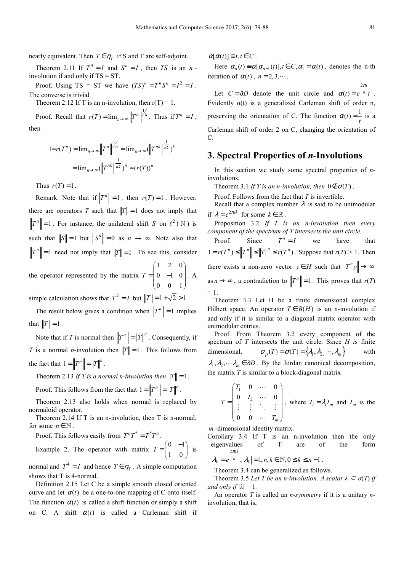nearly equivalent. Then  $T \in \eta_T$  if S and T are self-adjoint.

Theorem 2.11 If  $T^n = I$  and  $S^n = I$ , then *TS* is an *n*involution if and only if TS = ST.

Proof. Using TS = ST we have  $(TS)^n = T^nS^n = I^2 = I$ . The converse is trivial.

Theorem 2.12 If T is an n-involution, then  $r(T) = 1$ .

Proof. Recall that  $r(T) = \lim_{n \to \infty} ||T^n||_n^{\frac{1}{n}}$ . Thus if  $T^n = I$ , then

$$
1 = r(T^n) = \lim_{n \to \infty} \left\| T^n \right\|_{\infty}^{1/n} = \lim_{n \to \infty} \left( \left\| T^{nk} \right\|_{\infty}^{1/k} \right)^k
$$

$$
= \lim_{n \to \infty} \left( \left\| T^{nk} \right\|_{\infty}^{1/k} \right)^n = \left( r(T) \right)^n
$$

Thus  $r(T) = 1$ .

Remark. Note that if  $||T^n|| = 1$ , then  $r(T) = 1$ . However, there are operators *T* such that  $||T|| = 1$  does not imply that  $T^n \leq 1$ . For instance, the unilateral shift *S* on  $\ell^2(\mathbb{N})$  is such that  $||S|| = 1$  but  $||S^n|| = 0$  as  $n \to \infty$ . Note also that  $T^n$  = 1 need not imply that  $\|T\| = 1$ . To see this, consider  $1 \quad 2 \quad 0$ 

the operator represented by the matrix  $0 \t -1 \t 0$  $0 \t 0 \t 1$  $T = \begin{bmatrix} 1 & 2 & 0 \\ 0 & -1 & 0 \end{bmatrix}$  $=\begin{bmatrix} 0 & -1 & 0 \\ 0 & 0 & 1 \end{bmatrix}$ . A

simple calculation shows that  $T^2 = I$  but  $||T|| = 1 + \sqrt{2} > 1$ .

The result below gives a condition when  $||T^n|| = 1$  implies that  $||T|| = 1$ .

Note that if *T* is normal then  $||T^n|| = ||T||^n$ . Consequently, if *T* is a normal *n*-involution then  $||T|| = 1$ . This follows from the fact that  $1 = \|T^n\| = \|T\|^n$ .

Theorem 2.13 *If T* is a normal n-involution then  $||T|| = 1$ .

Proof. This follows from the fact that  $1 = ||T^n|| = ||T||^n$ .

Theorem 2.13 also holds when normal is replaced by normaloid operator.

Theorem 2.14 If T is an n-involution, then T is n-normal, for some  $n \in \mathbb{N}$ .

Proof. This follows easily from  $T^nT^* = T^*T^n$ . Example 2. The operator with matrix  $T = \begin{pmatrix} 0 & -1 \\ 1 & 0 \end{pmatrix}$  $T = \begin{pmatrix} 0 & -1 \\ 1 & 0 \end{pmatrix}$  $=\begin{pmatrix} 0 & 1 \\ 1 & 0 \end{pmatrix}$  is

normal and  $T^4 = I$  and hence  $T \in \eta_T$ . A simple computation shows that T is 4-normal.

Definition 2.15 Let C be a simple smooth closed oriented curve and let  $\alpha(t)$  be a one-to-one mapping of C onto itself. The function  $\alpha(t)$  is called a shift function or simply a shift on C. A shift  $\alpha(t)$  is called a Carleman shift if  $\alpha[\alpha(t)] \equiv t, t \in C$ .

Here  $\alpha_n(t) \equiv \alpha[\alpha_{n-1}(t)]$ ,  $t \in C$ ,  $\alpha_1 = \alpha(t)$ , denotes the n-th iteration of  $\alpha(t)$ ,  $n = 2, 3, \dots$ .

Let  $C = \partial D$  denote the unit circle and  $\alpha(t) = e^{nt}$ . 2 *i* π Evidently  $\alpha(t)$  is a generalized Carleman shift of order n, preserving the orientation of C. The function  $\alpha(t) = \frac{1}{t}$  is a Carleman shift of order 2 on C, changing the orientation of  $\mathcal{C}$ 

#### **3. Spectral Properties of** *n***-Involutions**

In this section we study some spectral properties of *n*involutions.

Theorem 3.1 *If T is an n-involution, then*  $0 \notin \sigma(T)$ .

Proof. Follows from the fact that *T* is invertible.

Recall that a complex number  $\lambda$  is said to be unimodular if  $\lambda = e^{2\pi i k}$  for some  $k \in \mathbb{R}$ .

Proposition 3.2 *If T is an n-involution then every component of the spectrum of T intersects the unit circle.* 

Proof. Since  $T^n = I$  we have that  $1 = r(T^n) \le ||T^n|| \le ||T||^n \le r(T^n)$ . Suppose that  $r(T) > 1$ . Then there exists a non-zero vector  $y \in H$  such that  $||T^n y|| \to \infty$ as  $n \to \infty$ , a contradiction to  $||T^n|| = 1$ . This proves that  $r(T)$  $= 1.$ 

Theorem 3.3 Let H be a finite dimensional complex Hilbert space. An operator  $T \in B(H)$  is an n-involution if and only if it is similar to a diagonal matrix operator with unimodular entries.

Proof. From Theorem 3.2 every component of the spectrum of *T* intersects the unit circle. Since *H i*s finite dimensional,  $\sigma_p(T) = \sigma(T) = \{ \lambda_1, \lambda_2, \dots, \lambda_m \}$  with  $\lambda_1, \lambda_2, \dots, \lambda_m \in \partial D$ . By the Jordan canonical decomposition, the matrix *T* is similar to a block-diagonal matrix

$$
T = \begin{pmatrix} T_1 & 0 & \cdots & 0 \\ 0 & T_2 & \cdots & 0 \\ \vdots & \vdots & \ddots & \vdots \\ 0 & 0 & \cdots & T_m \end{pmatrix}, \text{ where } T_i = \lambda_i I_m \text{ and } I_m \text{ is the}
$$

*m* -dimensional identity matrix.

Corollary 3.4 If T is an n-involution then the only eigenvalues of T are of the form  $2\pi$ ik

$$
\lambda_k = e^{-n}, |\lambda_k| = 1, n, k \in \mathbb{N}, 0 \le k \le n - 1.
$$

Theorem 3.4 can be generalized as follows.

Theorem 3.5 Let T be an n-involution. A scalar  $\lambda \in \sigma(T)$  if *and only if*  $|\lambda| = 1$ .

An operator *T* is called an *n*-*symmetry* if it is a unitary *n*involution, that is,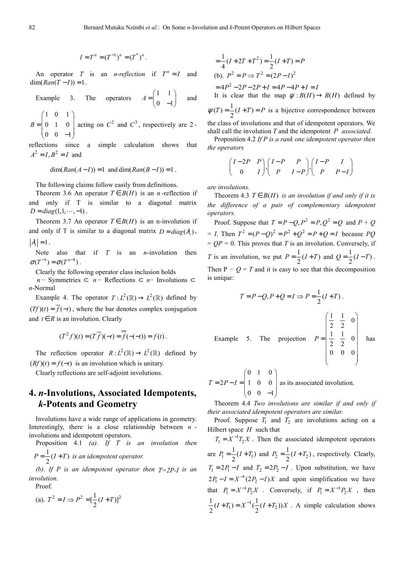$$
I = T^n = (T^{-1})^n = (T^*)^n.
$$

An operator *T* is an *n*-*reflection* if  $T^n = I$  and  $\dim ( \text{Ran}(T - I) ) = 1$ .

Example 3. The operators 
$$
A = \begin{pmatrix} 1 & 1 \\ 0 & -1 \end{pmatrix}
$$
 and

1 0 1 0 1 0  $0 \t 0 \t -1$  $B = \begin{pmatrix} 1 & 0 & 1 \\ 0 & 1 & 0 \end{pmatrix}$  $=\begin{pmatrix} 0 & 1 & 0 \\ 0 & 0 & -1 \end{pmatrix}$  acting on  $C^2$  and  $C^3$ , respectively are 2 -

reflections since a simple calculation shows that  $A^{2} = I, B^{2} = I$  and

 $\dim ( Ran(A - I)) = 1$  and  $\dim ( Ran(B - I)) = 1$ .

The following claims follow easily from definitions.

Theorem 3.6 An operator  $T \in B(H)$  is an *n*-reflection if and only if T is similar to a diagonal matrix  $D = diag(1, 1, \dots, -1)$ .

Theorem 3.7 An operator  $T \in B(H)$  is an n-involution if and only if T is similar to a diagonal matrix  $D = diag(\lambda_i)$ ,  $|\lambda_i| = 1$ .

Note also that if *T* is an *n*-involution then  $\sigma(T^{-1}) = \sigma(T^{n-1})$ .

Clearly the following operator class inclusion holds

*n* − Symmetries  $\subset$  *n* − Reflections  $\subset$  *n* − Involutions  $\subset$ *n*-Normal

Example 4. The operator  $T: L^2(\mathbb{R}) \to L^2(\mathbb{R})$  defined by  $(Tf)(t) = \overline{f(-t)}$ , where the bar denotes complex conjugation and  $t \in R$  is an involution. Clearly

$$
(T^2 f)(t) = (T \overline{f})(-t) = \overline{f}(-(-t)) = f(t).
$$

The reflection operator  $R : L^2(\mathbb{R}) \to L^2(\mathbb{R})$  defined by  $(Rf)(t) = f(-t)$  is an involution which is unitary.

Clearly reflections are self-adjoint involutions.

# **4.** *n***-Involutions, Associated Idempotents,**  *k***-Potents and Geometry**

Involutions have a wide range of applications in geometry. Interestingly, there is a close relationship between *n* involutions and idempotent operators.

Proposition 4.1 *(a). If T is an involution then*  1

$$
P = \frac{1}{2}(I+T)
$$
 is an idempotent operator.

(b). If P is an idempotent operator then  $T=2P-I$  is an *involution.* 

Proof.

(a). 
$$
T^2 = I \Rightarrow P^2 = [\frac{1}{2}(I+T)]^2
$$

$$
\frac{1}{4}(I + 2T + T^2) = \frac{1}{2}(I + T) = P
$$
  
(b).  $P^2 = P \Rightarrow T^2 = (2P - I)^2$   
=  $4P^2 - 2P - 2P + I = 4P - 4P + I = I$   
It is clear that the map  $\psi : B(H) \rightarrow B(H)$  defined by

 $\psi(T) = \frac{1}{2}(I+T) = P$  is a bijective correspondence between the class of involutions and that of idempotent operators. We

shall call the involution *T* and the idempotent *P associated.*

Proposition 4.2 *If P is a rank one idempotent operator then the operators* 

$$
\begin{pmatrix} I-2P & P \ 0 & I \end{pmatrix}, \begin{pmatrix} I-P & P \ P & I-P \end{pmatrix}, \begin{pmatrix} I-P & I \ P & P-I \end{pmatrix}
$$

*are involutions.* 

Exan

Theorem 4.3  $T \in B(H)$  *is an involution if and only if it is the difference of a pair of complementary idempotent operators.* 

Proof. Suppose that  $T = P - Q$ ,  $P^2 = P$ ,  $Q^2 = Q$  and  $P + Q$  $= I$ . Then  $T^2 = (P - Q)^2 = P^2 + Q^2 = P + Q = I$  because *PQ*  $= QP = 0$ . This proves that *T* is an involution. Conversely, if *T* is an involution, we put  $P = \frac{1}{2}(I+T)$  and  $Q = \frac{1}{2}(I-T)$ . Then  $P - Q = T$  and it is easy to see that this decomposition is unique:

$$
T = P - Q, P + Q = I \Rightarrow P = \frac{1}{2}(I + T).
$$
  
1  
1  
1  
2  
2  
3  
1  
2  
2  
3  
1  
2  
3  
1  
2  
3  
1  
0  
0  
1  
0  
0  
1  
0  
0

0 1 0  $2P-I = |1 \ 0 \ 0$  $0 \t 0 \t -1$  $T = 2P - I = \begin{pmatrix} 0 & 1 & 0 \\ 1 & 0 & 0 \end{pmatrix}$  $= 2P - I = \begin{pmatrix} 1 & 0 & 0 \\ 0 & 0 & -1 \end{pmatrix}$  as its associated involution.

Theorem 4.4 *Two involutions are similar if and only if their associated idempotent operators are similar.* 

Proof. Suppose  $T_1$  and  $T_2$  are involutions acting on a Hilbert space *H* such that

 $T_1 = X^{-1}T_2X$ . Then the associated idempotent operators are  $P_1 = \frac{1}{2}(I + T_1)$  and  $P_2 = \frac{1}{2}(I + T_2)$ , respectively. Clearly,  $T_1 = 2P_1 - I$  and  $T_2 = 2P_2 - I$ . Upon substitution, we have  $2P_1 - I = X^{-1}(2P_2 - I)X$  and upon simplification we have that  $P_1 = X^{-1} P_2 X$ . Conversely, if  $P_1 = X^{-1} P_2 X$ , then  $T_1$ ) =  $X^{-1}(\frac{1}{2}(I + T_2))$  $\frac{1}{2}(I+T_1) = X^{-1}(\frac{1}{2}(I+T_2))X$ . A simple calculation shows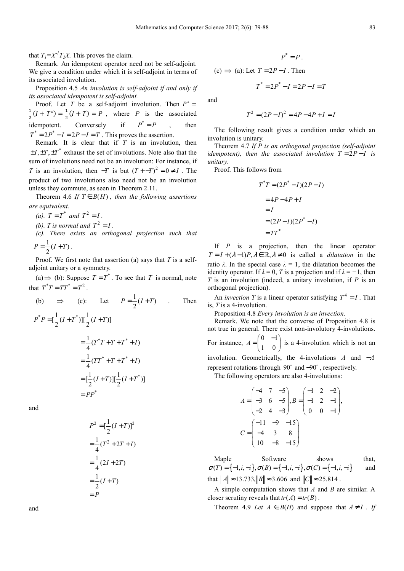that  $T_1 = X^T T_2 X$ . This proves the claim.

Remark. An idempotent operator need not be self-adjoint. We give a condition under which it is self-adjoint in terms of its associated involution.

Proposition 4.5 *An involution is self-adjoint if and only if its associated idempotent is self-adjoint.* 

Proof. Let *T* be a self-adjoint involution. Then  $P^* =$  $\mathbf{1}$  $\frac{1}{2}(I + T^*) = \frac{1}{2}$  $\frac{1}{2}(I+T) = P$ , where *P* is the associated idempotent. Conversely if  $P^* = P$ , then  $T^* = 2P^* - I = 2P - I = T$ . This proves the assertion.

Remark. It is clear that if *T* is an involution, then  $\pm I, \pm T, \pm T^*$  exhaust the set of involutions. Note also that the sum of involutions need not be an involution: For instance, if *T* is an involution, then  $-T$  is but  $(T + T)^2 = 0 \neq I$ . The product of two involutions also need not be an involution unless they commute, as seen in Theorem 2.11.

Theorem 4.6 *If*  $T \in B(H)$ , then the following assertions *are equivalent.* 

- *(a).*  $T = T^*$  *and*  $T^2 = I$ .
- (b). T is normal and  $T^2 = I$ .
- *(c). There exists an orthogonal projection such that*
- $P = \frac{1}{2}(I+T)$ .

Proof. We first note that assertion (a) says that *T* is a selfadjoint unitary or a symmetry.

(a)  $\Rightarrow$  (b): Suppose *T* = *T*<sup>\*</sup>. To see that *T* is normal, note that  $T^*T = TT^* = T^2$ .

(b) 
$$
\Rightarrow
$$
 (c): Let  $P = \frac{1}{2}(I+T)$ . Then  
\n
$$
P^*P = [\frac{1}{2}(I+T^*)][\frac{1}{2}(I+T)]
$$
\n
$$
= \frac{1}{4}(T^*T+T+T^*+I)
$$
\n
$$
= \frac{1}{4}(TT^*+T+T^*+I)
$$
\n
$$
= [\frac{1}{2}(I+T)][\frac{1}{2}(I+T^*)]
$$
\n
$$
= PP^*
$$

and

$$
P^{2} = \left[\frac{1}{2}(I+T)\right]^{2}
$$
  
=  $\frac{1}{4}(T^{2} + 2T + I)$   
=  $\frac{1}{4}(2I + 2T)$   
=  $\frac{1}{2}(I+T)$   
=  $P$ 

$$
P^*=P.
$$

(c)  $\Rightarrow$  (a): Let  $T = 2P - I$ . Then

and

$$
T^2 = (2P - I)^2 = 4P - 4P + I = I
$$

 $T^* = 2P^* - I = 2P - I = T$ 

The following result gives a condition under which an involution is unitary.

Theorem 4.7 *If P is an orthogonal projection (self-adjoint idempotent), then the associated involution*  $T = 2P - I$  *is unitary.* 

Proof. This follows from

$$
T^*T = (2P^* - I)(2P - I)
$$

$$
= 4P - 4P + I
$$

$$
= I
$$

$$
= (2P - I)(2P^* - I)
$$

$$
= TT^*
$$

If *P* is a projection, then the linear operator  $T = I + (\lambda - 1)P, \lambda \in \mathbb{R}, \lambda \neq 0$  is called a *dilatation* in the ratio  $\lambda$ . In the special case  $\lambda = 1$ , the dilatation becomes the identity operator. If  $\lambda = 0$ , *T* is a projection and if  $\lambda = -1$ , then *T* is an involution (indeed, a unitary involution, if *P* is an orthogonal projection).

An *invection* T is a linear operator satisfying  $T^4 = I$ . That is, *T* is a 4-involution.

Proposition 4.8 *Every involution is an invection.* 

Remark. We note that the converse of Proposition 4.8 is not true in general. There exist non-involutory 4-involutions. For instance,  $A = \begin{pmatrix} 0 & -1 \\ 1 & 0 \end{pmatrix}$  $A = \begin{pmatrix} 0 & -1 \\ 1 & 0 \end{pmatrix}$  $= \begin{pmatrix} 1 & 0 \end{pmatrix}$  is a 4-involution which is not an

involution. Geometrically, the 4-involutions *A* and −*A* represent rotations through  $90^\circ$  and  $-90^\circ$ , respectively.

The following operators are also 4-involutions:

$$
A = \begin{pmatrix} -4 & 7 & -5 \\ -3 & 6 & -5 \\ -2 & 4 & -3 \end{pmatrix}, B = \begin{pmatrix} -1 & 2 & -2 \\ -1 & 2 & -1 \\ 0 & 0 & -1 \end{pmatrix},
$$
  

$$
C = \begin{pmatrix} -11 & -9 & -15 \\ -4 & 3 & 8 \\ 10 & -8 & -15 \end{pmatrix}
$$

Maple Software shows that,  $\sigma(T) = \{-1, i, -i\}, \sigma(B) = \{-1, i, -i\}, \sigma(C) = \{-1, i, -i\}$  and that  $||A|| \approx 13.733$ ,  $||B|| \approx 3.606$  and  $||C|| \approx 25.814$ .

A simple computation shows that *A* and *B* are similar. A closer scrutiny reveals that  $tr(A) = tr(B)$ .

Theorem 4.9 *Let*  $A \in B(H)$  and suppose that  $A \neq I$ . If

and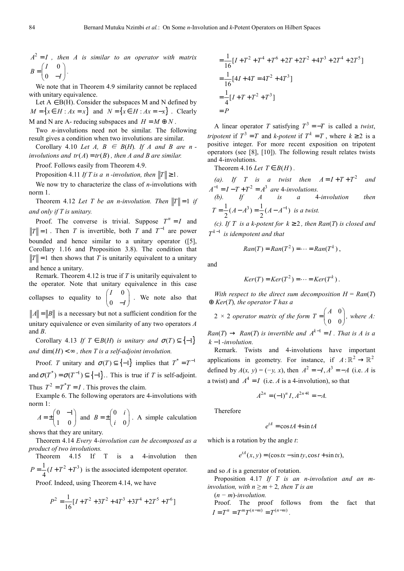$A^2 = I$  *i* then A is similar to an operator with matrix 0 0  $B = \begin{pmatrix} I & 0 \\ 0 & -I \end{pmatrix}$  $(I \ 0)$  $=\begin{pmatrix} 1 & 0 \\ 0 & -I \end{pmatrix}$ *.* 

We note that in Theorem 4.9 similarity cannot be replaced with unitary equivalence.

Let  $A \in B(H)$ . Consider the subspaces M and N defined by  $M = \{x \in H : Ax = x\}$  and  $N = \{x \in H : Ax = -x\}$ . Clearly M and N are A- reducing subspaces and  $H = M \oplus N$ .

Two *n*-involutions need not be similar. The following result gives a condition when two involutions are similar.

Corollary 4.10 *Let A, B*  $\in$  *B*(*H*)*. If A and B are n involutions and*  $tr(A) = tr(B)$ *, then A and B are similar.* 

Proof. Follows easily from Theorem 4.9.

Proposition 4.11 *If T* is a *n -involution, then*  $||T|| \ge 1$ .

We now try to characterize the class of *n*-involutions with norm 1.

Theorem 4.12 Let T be an n-involution. Then  $||T|| = 1$  if *and only if T is unitary.* 

Proof. The converse is trivial. Suppose  $T^n = I$  and  $T \parallel = 1$ . Then *T* is invertible, both *T* and  $T^{-1}$  are power bounded and hence similar to a unitary operator ([5], Corollary 1.16 and Proposition 3.8). The condition that  $||T|| = 1$  then shows that *T* is unitarily equivalent to a unitary and hence a unitary.

Remark. Theorem 4.12 is true if *T* is unitarily equivalent to the operator. Note that unitary equivalence in this case collapses to equality to  $\begin{pmatrix} I & 0 \\ 0 & I \end{pmatrix}$ 0 *I*  $\begin{pmatrix} I & 0 \ 0 & -I \end{pmatrix}$ . We note also that  $||A|| = ||B||$  is a necessary but not a sufficient condition for the

unitary equivalence or even similarity of any two operators *A*  and *B*. Corollary 4.13 *If*  $T \in B(H)$  *is unitary and*  $\sigma(T) \subseteq \{-1\}$ 

*and*  $\dim(H) < \infty$ , then *T* is a self-adjoint involution.

Proof. *T* unitary and  $\sigma(T) \subseteq \{-1\}$  implies that  $T^* = T^{-1}$ and  ${\sigma}(T^*) = {\sigma}(T^{-1}) \subseteq \{-1\}$ . *This is true if T is self-adjoint.* Thus  $T^2 = T^*T = I$ . This proves the claim.

Example 6. The following operators are 4-involutions with norm 1:

$$
A = \pm \begin{pmatrix} 0 & -1 \\ 1 & 0 \end{pmatrix}
$$
 and 
$$
B = \pm \begin{pmatrix} 0 & i \\ i & 0 \end{pmatrix}
$$
. A simple calculation

shows that they are unitary.

Theorem 4.14 *Every* 4*-involution can be decomposed as a product of two involutions.* 

Theorem 4.15 If T is a 4-involution then  $P = \frac{1}{4}(I + T^2 + T^3)$  is the associated idempotent operator.

Proof. Indeed, using Theorem 4.14, we have

$$
P^{2} = \frac{1}{16} [I + T^{2} + 3T^{2} + 4T^{3} + 3T^{4} + 2T^{5} + T^{6}]
$$

$$
= \frac{1}{16} [I + T^2 + T^4 + T^6 + 2T + 2T^2 + 4T^3 + 2T^4 + 2T^5]
$$
  
=  $\frac{1}{16} [4I + 4T = 4T^2 + 4T^3]$   
=  $\frac{1}{4} [I + T + T^2 + T^3]$   
= P

A linear operator *T* satisfying  $T^3 = -T$  is called a *twist*, *tripotent* if  $T^3 = T$  and *k-potent* if  $T^k = T$ , where  $k \ge 2$  is a positive integer. For more recent exposition on tripotent operators (see [8], [10]). The following result relates twists and 4-involutions.

Theorem 4.16 *Let*  $T \in B(H)$ .

*(a).* If T is a twist then  $A = I + T + T^2$  and  $A^{-1} = I - T + T^2 = A^3$  are 4*-involutions*. *(b). If A is a* 4*-involution then*   $T = \frac{1}{2}(A - A^3) = \frac{1}{2}(A - A^{-1})$  is a twist.

*(c). If T is a k-potent for*  $k \geq 2$ *, then Ran(T) is closed and*  $T^{k-1}$  is idempotent and that

$$
Ran(T) = Ran(T^2) = \cdots = Ran(T^k) ,
$$

and

$$
Ker(T) = Ker(T2) = \cdots = Ker(Tk).
$$

*With respect to the direct sum decomposition*  $H = Ran(T)$ ⊕ *Ker*(*T*)*, the operator T has a* 

2 × 2 operator matrix of the form 
$$
T = \begin{pmatrix} A & 0 \\ 0 & 0 \end{pmatrix}
$$
, where A:

 $\text{Ran}(T) \rightarrow \text{Ran}(T)$  *is invertible and*  $A^{k-1} = I$ . That is A is a *k* −1*-involution.* 

Remark. Twists and 4-involutions have important applications in geometry. For instance, if  $A: \mathbb{R}^2 \to \mathbb{R}^2$ defined by  $A(x, y) = (-y, x)$ , then  $A^2 = -I, A^3 = -A$  (i.e. *A* is a twist) and  $A^4 = I$  (i.e. *A* is a 4-involution), so that

$$
A^{2n} = (-1)^n I, A^{2n+1} = -A.
$$

Therefore

$$
e^{tA} = \cos tA + \sin tA
$$

which is a rotation by the angle *t*:

$$
e^{tA}(x, y) = (\cos tx - \sin ty, \cos t + \sin tx),
$$

and so *A* is a generator of rotation.

Proposition 4.17 *If T is an n-involution and an minvolution, with*  $n \ge m + 2$ *, then T is an* 

(*n − m*)*-involution.* 

Proof. The proof follows from the fact that  $I = T^n = T^m T^{(n-m)} = T^{(n-m)}$ .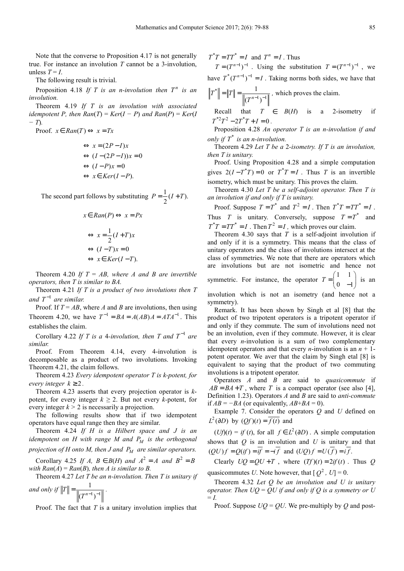Note that the converse to Proposition 4.17 is not generally true. For instance an involution *T* cannot be a 3-involution, unless  $T = I$ .

The following result is trivial.

Proposition 4.18 If T is an *n*-involution then  $T^n$  is an *involution.* 

Theorem 4.19 *If T is an involution with associated idempotent P, then*  $Ran(T) = Ker(I - P)$  *and*  $Ran(P) = Ker(I)$ *− T*)*.* 

Proof.  $x \in Ran(T) \Leftrightarrow x = Tx$ 

$$
\Leftrightarrow x = (2P - I)x
$$
  
\n
$$
\Leftrightarrow (I - (2P - I))x = 0
$$
  
\n
$$
\Leftrightarrow (I - P)x = 0
$$
  
\n
$$
\Leftrightarrow x \in Ker(I - P).
$$

The second part follows by substituting  $P = \frac{1}{2}(I + T)$ .

$$
x \in Ran(P) \Leftrightarrow x = Px
$$

$$
\Leftrightarrow x = \frac{1}{2}(I+T)x
$$

$$
\Leftrightarrow (I-T)x = 0
$$

$$
\Leftrightarrow x \in Ker(I-T).
$$

Theorem 4.20 If  $T = AB$ , where A and B are invertible *operators, then T is similar to BA.* 

Theorem 4.21 *If T is a product of two involutions then T*  and  $T^{-1}$  are similar.

Proof. If  $T = AB$ , where *A* and *B* are involutions, then using Theorem 4.20, we have  $T^{-1} = BA = A(AB)A = ATA^{-1}$ . This establishes the claim.

Corollary 4.22 If T is a 4-involution, then T and  $T^{-1}$  are *similar.* 

Proof. From Theorem 4.14, every 4-involution is decomposable as a product of two involutions. Invoking Theorem 4.21, the claim follows.

Theorem 4.23 *Every idempotent operator T is k-potent, for every integer*  $k \geq 2$ .

Theorem 4.23 asserts that every projection operator is *k*potent, for every integer  $k \ge 2$ . But not every *k*-potent, for every integer  $k > 2$  is necessarily a projection.

The following results show that if two idempotent operators have equal range then they are similar.

Theorem 4.24 *If H is a Hilbert space and J is an idempotent on H with range M and P<sub>M</sub> is the orthogonal projection of H onto M, then J and*  $P<sub>M</sub>$  *are similar operators.* 

Corollary 4.25 *If A, B*  $\in$  *B*(*H*) *and*  $A^2 = A$  *and*  $B^2 = B$ *with Ran* $(A)$  = *Ran* $(B)$ *, then A is similar to B.* 

Theorem 4.27 *Let T be an n-involution. Then T is unitary if*  1

and only if 
$$
||T|| = \frac{1}{||(T^{n-1})^{-1}||}
$$
.

Proof. The fact that *T* is a unitary involution implies that

 $T^*T = TT^* = I$  and  $T^n = I$ . Thus

 $T = (T^{n-1})^{-1}$ . Using the substitution  $T = (T^{n-1})^{-1}$ , we have  $T^*(T^{n-1})^{-1} = I$ . Taking norms both sides, we have that \*  $1\sqrt{-1}$ 1  $T^*$  =  $\|T\|$  =  $\frac{1}{\|(T^{n-1})^{-}}$  $=\|T\| = \frac{1}{\|(T^{n-1})^{-1}\|}$ , which proves the claim.

Recall that  $T \in B(H)$  is a 2-isometry if  $T^*{}^2T^2 - 2T^*T + I = 0$ .

Proposition 4.28 *An operator T is an n-involution if and only if*  $T^*$  *is an n-involution.* 

Theorem 4.29 *Let T be a* 2*-isometry. If T is an involution, then T is unitary.* 

Proof. Using Proposition 4.28 and a simple computation gives  $2(I - T^*T) = 0$  or  $T^*T = I$ . Thus *T* is an invertible isometry, which must be unitary. This proves the claim.

Theorem 4.30 *Let T be a self-adjoint operator. Then T is an involution if and only if T is unitary.* 

Proof. Suppose  $T = T^*$  and  $T^2 = I$ . Then  $T^*T = TT^* = I$ . Thus *T* is unitary. Conversely, suppose  $T = T^*$  and  $T^*T = TT^* = I$ . Then  $T^2 = I$ , which proves our claim.

Theorem 4.30 says that *T* is a self-adjoint involution if and only if it is a symmetry. This means that the class of unitary operators and the class of involutions intersect at the class of symmetries. We note that there are operators which are involutions but are not isometric and hence not symmetric. For instance, the operator  $T = \begin{pmatrix} 1 & 1 \\ 1 & 1 \end{pmatrix}$  $T = \begin{pmatrix} 1 & 1 \\ 0 & -1 \end{pmatrix}$  $(1 \quad 1)$  $=\begin{pmatrix} 1 & 1 \\ 0 & -1 \end{pmatrix}$  is an

involution which is not an isometry (and hence not a symmetry).

Remark. It has been shown by Singh et al [8] that the product of two tripotent operators is a tripotent operator if and only if they commute. The sum of involutions need not be an involution, even if they commute. However, it is clear that every *n*-involution is a sum of two complementary idempotent operators and that every *n*-involution is an  $n + 1$ potent operator. We aver that the claim by Singh etal [8] is equivalent to saying that the product of two commuting involutions is a tripotent operator.

Operators *A* and *B* are said to *quasicommute* if  $AB = BA + T$ , where *T* is a compact operator (see also [4], Definition 1.23). Operators *A* and *B* are said to *anti-commute*  if  $AB = -BA$  (or equivalently,  $AB + BA = 0$ ).

Example 7. Consider the operators *Q* and *U* defined on  $L^2(\partial D)$  by  $(Qf)(t) = \overline{f(t)}$  and

 $(Uf)(t) = if (t)$ , for all  $f \in L^2(\partial D)$ . A simple computation shows that *Q* is an involution and *U* is unitary and that  $(OU) f = O(if) = i\overline{f} = -i\overline{f}$  and  $(UO) f = U(\overline{f}) = i\overline{f}$ .

Clearly  $UQ = QU + T$ , where  $(Tf)(t) = 2if(t)$ . Thus *Q* quasicommutes *U*. Note however, that  $[Q^2, U] = 0$ .

Theorem 4.32 *Let Q be an involution and U is unitary operator. Then UQ* = *QU if and only if Q is a symmetry or U*   $= I$ .

Proof. Suppose  $UQ = QU$ . We pre-multiply by Q and post-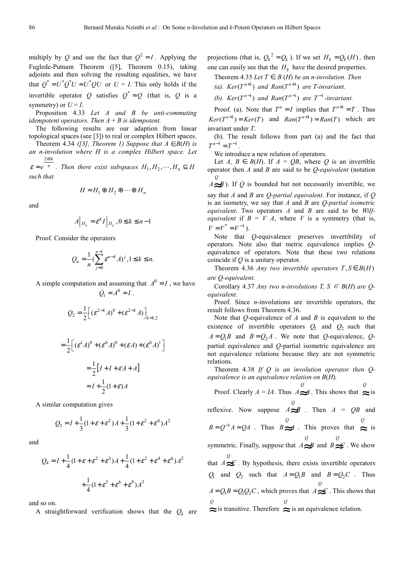multiply by *Q* and use the fact that  $Q^2 = I$ . Applying the Fuglede-Putnam Theorem ([5], Theorem 0.15), taking adjoints and then solving the resulting equalities, we have that  $Q^* = U^* Q^* U = U^* Q U$  or  $U = I$ . This only holds if the invertible operator *Q* satisfies  $Q^* = Q$  (that is, *Q* is a symmetry) or  $U = I$ .

Proposition 4.33 *Let A and B be anti-commuting idempotent operators. Then*  $A + B$  *is idempotent.* 

The following results are our adaption from linear topological spaces (see [3]) to real or complex Hilbert spaces.

Theorem 4.34 *([3], Theorem 1) Suppose that*  $A \in B(H)$  *is an n-involution where H is a complex Hilbert space. Let*   $2\pi$ ik

 $\varepsilon = e^{-n}$  *. Then there exist subspaces*  $H_1, H_2, \dots, H_n \subseteq H$ *such that* 

$$
H = H_1 \oplus H_2 \oplus \cdots \oplus H_n
$$

and

$$
A\Big|_{H_k} = \varepsilon^k I\Big|_{H_k}, 0 \le k \le n-1
$$

Proof. Consider the operators

$$
Q_n = \frac{1}{n} \left( \sum_{j=0}^{n-1} \varepsilon^{n-k} A \right)^j, 1 \le k \le n.
$$

A simple computation and assuming that  $A^0 = I$ , we have  $Q_1 = A^0 = I$ .

$$
Q_2 = \frac{1}{2} \Big[ \left( \varepsilon^{2-k} A \right)^0 + \left( \varepsilon^{2-k} A \right) \Big]_{k=1,2}
$$

$$
= \frac{1}{2} \Big[ \left( \varepsilon^1 A \right)^0 + \left( \varepsilon^0 A \right)^0 + \left( \varepsilon A \right) + \left( \varepsilon^0 A \right)^1 \Big]
$$

$$
= \frac{1}{2} \Big[ I + I + \varepsilon A + A \Big]
$$

$$
= I + \frac{1}{2} (1 + \varepsilon) A
$$

A similar computation gives

$$
Q_3 = I + \frac{1}{3}(1 + \varepsilon + \varepsilon^2)A + \frac{1}{3}(1 + \varepsilon^2 + \varepsilon^4)A^2
$$

and

$$
Q_4 = I + \frac{1}{4} (1 + \varepsilon + \varepsilon^2 + \varepsilon^3) A + \frac{1}{4} (1 + \varepsilon^2 + \varepsilon^4 + \varepsilon^6) A^2
$$

$$
+ \frac{1}{4} (1 + \varepsilon^3 + \varepsilon^6 + \varepsilon^9) A^3
$$

and so on.

A straightforward verification shows that the  $Q_k$  are

projections (that is,  $Q_k^2 = Q_k$ ). If we set  $H_k = Q_k(H)$ , then one can easily see that the  $H_k$  have the desired properties.

Theorem 4.35 *Let*  $T \in B(H)$  *be an n-involution. Then* 

(a). 
$$
Ker(T^{n+1})
$$
 and  $Ran(T^{n+1})$  are T-invariant.

*(b).*  $Ker(T^{n-1})$  and  $Ran(T^{n-1})$  are  $T^{-1}$ -invariant.

Proof. (a). Note that  $T^n = I$  implies that  $T^{n+1} = T$ . Thus  $Ker(T^{n+1}) = Ker(T)$  and  $Ran(T^{n+1}) = Ran(T)$  which are invariant under *T*.

(b). The result follows from part (a) and the fact that  $T^{n-1} = T^{-1}$ .

We introduce a new relation of operators.

Let *A, B*  $\in$  *B(H).* If *A* = *OB*, where *O* is an invertible operator then *A* and *B* are said to be *Q*-*equivalent* (notation *Q*

 $A \approx B$ ). If *Q* is bounded but not necessarily invertible, we say that *A* and *B* are *Q*-*partial equivalent*. For instance, if *Q*  is an isometry, we say that *A* and *B* are *Q*-*partial isometric equivalent*. Two operators *A* and *B* are said to be *Wilfequivalent* if  $B = V A$ , where *V* is a symmetry (that is,  $V = V^* = V^{-1}$ .

Note that *Q*-equivalence preserves invertibility of operators. Note also that metric equivalence implies *Q*equivalence of operators. Note that these two relations coincide if *Q* is a unitary operator.

Theorem 4.36 *Any two invertible operators*  $T, S \in B(H)$ *are Q-equivalent.* 

Corollary 4.37 *Any two n-involutions T, S*  $\in$  *B(H) are Qequivalent.* 

Proof. Since *n*-involutions are invertible operators, the result follows from Theorem 4.36.

Note that *Q*-equivalence of *A* and *B* is equivalent to the existence of invertible operators  $Q_1$  and  $Q_2$  such that  $A = Q_1 B$  and  $B = Q_2 A$ . We note that *Q*-equivalence, *Q*partial equivalence and *Q*-partial isometric equivalence are not equivalence relations because they are not symmetric relations.

Theorem 4.38 *If Q is an involution operator then Qequivalence is an equivalence relation on B*(*H*)*.* 

Proof. Clearly  $A = IA$ . Thus  $A \approx A$ . This shows that  $\approx$  is *Q Q* reflexive. Now suppose  $\int_{A}^{Q}$   $\approx$  *B*  $\cdot$  Then *A* = *QB* and  $B = Q^{-1}A = QA$  . Thus  $B \approx A$ . This proves that  $\approx \frac{Q}{\approx}$  is symmetric. Finally, suppose that  $A \approx B$  and  $B \approx C$ . We show that  $A \in \mathcal{C}$ . By hypothesis, there exists invertible operators *Q*  $Q_1$  and  $Q_2$  such that  $A = Q_1 B$  and  $B = Q_2 C$ . Thus  $A = Q_1 B = Q_1 Q_2 C$ , which proves that  $A \approx C$ . This shows that *Q*  $\approx$  is transitive. Therefore  $\approx$  is an equivalence relation. *Q*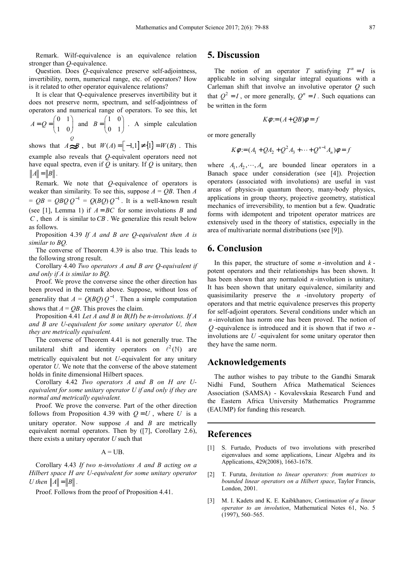Remark. Wilf-equivalence is an equivalence relation stronger than *Q*-equivalence.

Question. Does *Q*-equivalence preserve self-adjointness, invertibility, norm, numerical range, etc. of operators? How is it related to other operator equivalence relations?

It is clear that Q-equivalence preserves invertibility but it does not preserve norm, spectrum, and self-adjointness of operators and numerical range of operators. To see this, let

$$
A = Q = \begin{pmatrix} 0 & 1 \\ 1 & 0 \end{pmatrix}
$$
 and 
$$
B = \begin{pmatrix} 1 & 0 \\ 0 & 1 \end{pmatrix}
$$
. A simple calculation

shows that  $A \cong B$ , but *W*(*A*) =  $[-1,1] ≠ {1} = W(B)$ . This example also reveals that *Q-*equivalent operators need not have equal spectra, even if *Q* is unitary. If *Q* is unitary, then  $||A|| = ||B||$ .

Remark. We note that *Q*-equivalence of operators is weaker than similarity. To see this, suppose  $A = QB$ . Then  $A$  $= QB = QBQQQ^{-1} = Q(BQ)Q^{-1}$ . It is a well-known result (see [1], Lemma 1) if  $A = BC$  for some involutions *B* and *C* , then *A* is similar to*CB* . We generalize this result below as follows.

Proposition 4.39 *If A and B are Q-equivalent then A is similar to BQ.* 

The converse of Theorem 4.39 is also true. This leads to the following strong result.

Corollary 4.40 *Two operators A and B are Q-equivalent if and only if A is similar to BQ.* 

Proof. We prove the converse since the other direction has been proved in the remark above. Suppose, without loss of generality that  $A = Q(BQ)Q^{-1}$ . Then a simple computation shows that  $A = OB$ . This proves the claim.

Proposition 4.41 *Let A and B in B*(*H*) *be n-involutions. If A and B are U-equivalent for some unitary operator U, then they are metrically equivalent.* 

The converse of Theorem 4.41 is not generally true. The unilateral shift and identity operators on  $\ell^2(\mathbb{N})$  are metrically equivalent but not *U*-equivalent for any unitary operator *U*. We note that the converse of the above statement holds in finite dimensional Hilbert spaces.

Corollary 4.42 *Two operators A and B on H are Uequivalent for some unitary operator U if and only if they are normal and metrically equivalent.* 

Proof. We prove the converse. Part of the other direction follows from Proposition 4.39 with  $Q = U$ , where *U* is a unitary operator. Now suppose *A* and *B* are metrically equivalent normal operators. Then by ([7], Corollary 2.6), there exists a unitary operator *U* such that

 $A = UB$ .

Corollary 4.43 *If two n-involutions A and B acting on a Hilbert space H are U-equivalent for some unitary operator U* then  $||A|| = ||B||$ .

Proof. Follows from the proof of Proposition 4.41.

## **5. Discussion**

The notion of an operator *T* satisfying  $T^n = I$  is applicable in solving singular integral equations with a Carleman shift that involve an involutive operator *Q* such that  $Q^2 = I$ , or more generally,  $Q^n = I$ . Such equations can be written in the form

$$
K\phi = (A + QB)\phi = f
$$

or more generally

$$
K\phi = (A_1 + QA_2 + Q^2A_3 + \dots + Q^{n-1}A_n)\phi = f
$$

where  $A_1, A_2, \dots, A_n$  are bounded linear operators in a Banach space under consideration (see [4]). Projection operators (associated with involutions) are useful in vast areas of physics-in quantum theory, many-body physics, applications in group theory, projective geometry, statistical mechanics of irreversibility, to mention but a few. Quadratic forms with idempotent and tripotent operator matrices are extensively used in the theory of statistics, especially in the area of multivariate normal distributions (see [9]).

## **6. Conclusion**

In this paper, the structure of some *n* -involution and *k* potent operators and their relationships has been shown. It has been shown that any normaloid *n* -involution is unitary. It has been shown that unitary equivalence, similarity and quasisimilarity preserve the *n* -involutory property of operators and that metric equivalence preserves this property for self-adjoint operators. Several conditions under which an *n* -involution has norm one has been proved. The notion of *Q* -equivalence is introduced and it is shown that if two *n* involutions are *U* -equivalent for some unitary operator then they have the same norm.

### **Acknowledgements**

The author wishes to pay tribute to the Gandhi Smarak Nidhi Fund, Southern Africa Mathematical Sciences Association (SAMSA) - Kovalevskaia Research Fund and the Eastern Africa University Mathematics Programme (EAUMP) for funding this research.

#### **References**

- [1] S. Furtado, Products of two involutions with prescribed eigenvalues and some applications, Linear Algebra and its Applications, 429(2008), 1663-1678.
- [2] T. Furuta, *Invitation to linear operators: from matrices to bounded linear operators on a Hilbert space*, Taylor Francis, London, 2001.
- [3] M. I. Kadets and K. E. Kaibkhanov, *Continuation of a linear operator to an involution*, Mathematical Notes 61, No. 5 (1997), 560–565.